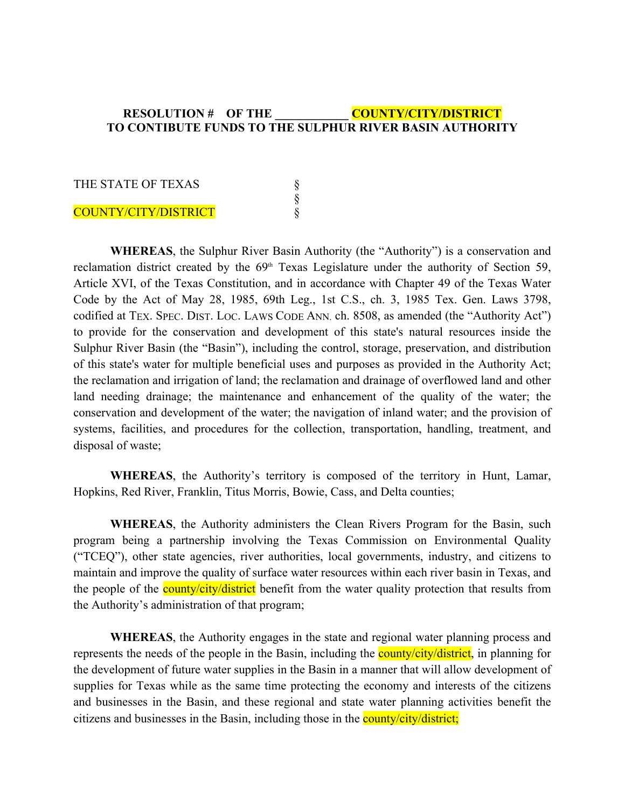## **RESOLUTION # OF THE \_\_\_\_\_\_\_\_\_\_\_\_ COUNTY/CITY/DISTRICT TO CONTIBUTE FUNDS TO THE SULPHUR RIVER BASIN AUTHORITY**

| THE STATE OF TEXAS   |  |
|----------------------|--|
|                      |  |
| COUNTY/CITY/DISTRICT |  |

**WHEREAS**, the Sulphur River Basin Authority (the "Authority") is a conservation and reclamation district created by the  $69<sup>th</sup>$  Texas Legislature under the authority of Section 59, Article XVI, of the Texas Constitution, and in accordance with Chapter 49 of the Texas Water Code by the Act of May 28, 1985, 69th Leg., 1st C.S., ch. 3, 1985 Tex. Gen. Laws 3798, codified at TEX. SPEC. DIST. LOC. LAWS CODE ANN. ch. 8508, as amended (the "Authority Act") to provide for the conservation and development of this state's natural resources inside the Sulphur River Basin (the "Basin"), including the control, storage, preservation, and distribution of this state's water for multiple beneficial uses and purposes as provided in the Authority Act; the reclamation and irrigation of land; the reclamation and drainage of overflowed land and other land needing drainage; the maintenance and enhancement of the quality of the water; the conservation and development of the water; the navigation of inland water; and the provision of systems, facilities, and procedures for the collection, transportation, handling, treatment, and disposal of waste;

**WHEREAS**, the Authority's territory is composed of the territory in Hunt, Lamar, Hopkins, Red River, Franklin, Titus Morris, Bowie, Cass, and Delta counties;

**WHEREAS**, the Authority administers the Clean Rivers Program for the Basin, such program being a partnership involving the Texas Commission on Environmental Quality ("TCEQ"), other state agencies, river authorities, local governments, industry, and citizens to maintain and improve the quality of surface water resources within each river basin in Texas, and the people of the **county/city/district** benefit from the water quality protection that results from the Authority's administration of that program;

**WHEREAS**, the Authority engages in the state and regional water planning process and represents the needs of the people in the Basin, including the **county/city/district**, in planning for the development of future water supplies in the Basin in a manner that will allow development of supplies for Texas while as the same time protecting the economy and interests of the citizens and businesses in the Basin, and these regional and state water planning activities benefit the citizens and businesses in the Basin, including those in the county/city/district;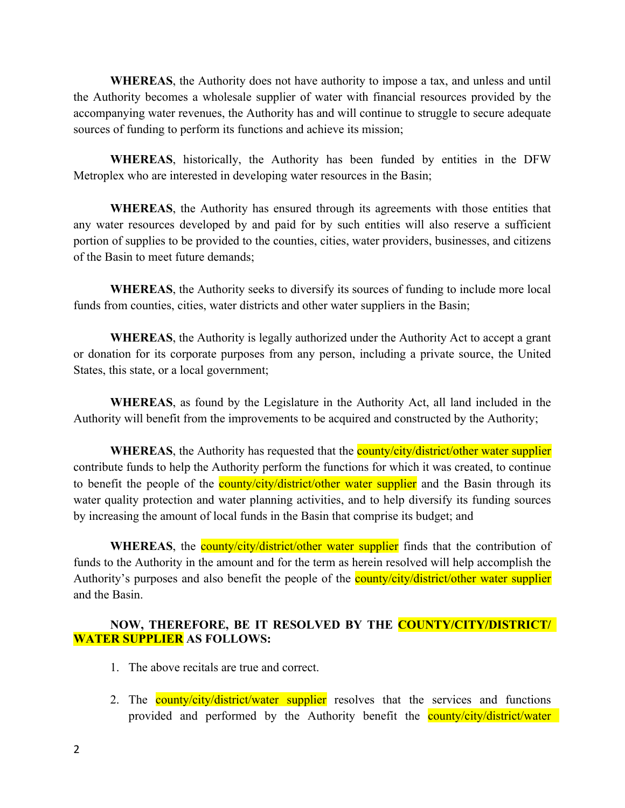**WHEREAS**, the Authority does not have authority to impose a tax, and unless and until the Authority becomes a wholesale supplier of water with financial resources provided by the accompanying water revenues, the Authority has and will continue to struggle to secure adequate sources of funding to perform its functions and achieve its mission;

**WHEREAS**, historically, the Authority has been funded by entities in the DFW Metroplex who are interested in developing water resources in the Basin;

**WHEREAS**, the Authority has ensured through its agreements with those entities that any water resources developed by and paid for by such entities will also reserve a sufficient portion of supplies to be provided to the counties, cities, water providers, businesses, and citizens of the Basin to meet future demands;

**WHEREAS**, the Authority seeks to diversify its sources of funding to include more local funds from counties, cities, water districts and other water suppliers in the Basin;

**WHEREAS**, the Authority is legally authorized under the Authority Act to accept a grant or donation for its corporate purposes from any person, including a private source, the United States, this state, or a local government;

**WHEREAS**, as found by the Legislature in the Authority Act, all land included in the Authority will benefit from the improvements to be acquired and constructed by the Authority;

**WHEREAS**, the Authority has requested that the **county/city/district/other water supplier** contribute funds to help the Authority perform the functions for which it was created, to continue to benefit the people of the **county/city/district/other water supplier** and the Basin through its water quality protection and water planning activities, and to help diversify its funding sources by increasing the amount of local funds in the Basin that comprise its budget; and

**WHEREAS**, the **county/city/district/other water supplier** finds that the contribution of funds to the Authority in the amount and for the term as herein resolved will help accomplish the Authority's purposes and also benefit the people of the **county/city/district/other water supplier** and the Basin.

## **NOW, THEREFORE, BE IT RESOLVED BY THE COUNTY/CITY/DISTRICT/ WATER SUPPLIER AS FOLLOWS:**

- 1. The above recitals are true and correct.
- 2. The **county/city/district/water supplier** resolves that the services and functions provided and performed by the Authority benefit the **county/city/district/water**